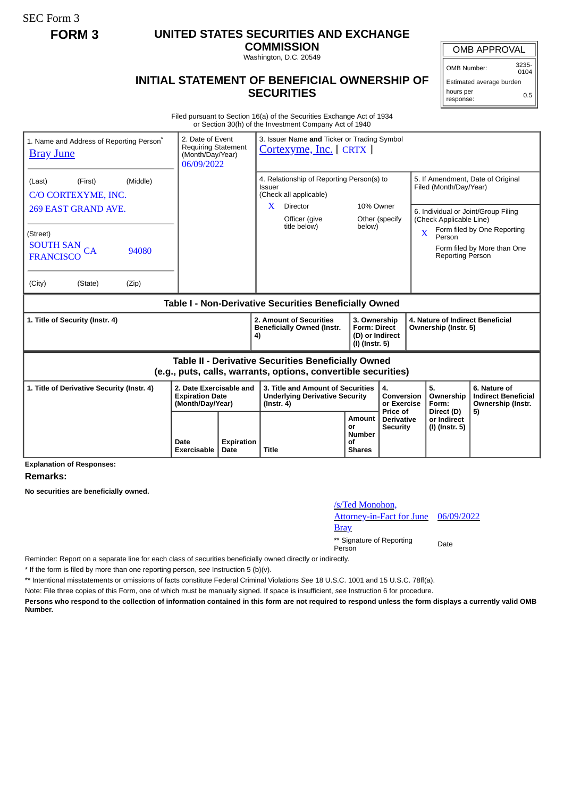SEC Form 3

## **FORM 3 UNITED STATES SECURITIES AND EXCHANGE**

**COMMISSION** Washington, D.C. 20549

## OMB APPROVAL

OMB Number: 3235-  $0104$ 

Estimated average burden hours per response: 0.5

## **INITIAL STATEMENT OF BENEFICIAL OWNERSHIP OF SECURITIES**

Filed pursuant to Section 16(a) of the Securities Exchange Act of 1934 or Section 30(h) of the Investment Company Act of 1940

| 1. Name and Address of Reporting Person <sup>®</sup><br><b>Bray June</b> |                                                                       | 2. Date of Event<br>3. Issuer Name and Ticker or Trading Symbol<br><b>Requiring Statement</b><br>Cortexyme, Inc. [ CRTX ]<br>(Month/Day/Year)<br>06/09/2022 |                                                                                                                              |                                                                          |                                             |  |                                                                                                                                  |                                                                       |  |
|--------------------------------------------------------------------------|-----------------------------------------------------------------------|-------------------------------------------------------------------------------------------------------------------------------------------------------------|------------------------------------------------------------------------------------------------------------------------------|--------------------------------------------------------------------------|---------------------------------------------|--|----------------------------------------------------------------------------------------------------------------------------------|-----------------------------------------------------------------------|--|
| (Middle)<br>(First)<br>(Last)<br>C/O CORTEXYME, INC.                     |                                                                       |                                                                                                                                                             | 4. Relationship of Reporting Person(s) to<br>Issuer<br>(Check all applicable)                                                |                                                                          |                                             |  | 5. If Amendment, Date of Original<br>Filed (Month/Day/Year)                                                                      |                                                                       |  |
| 269 EAST GRAND AVE.<br>(Street)                                          |                                                                       |                                                                                                                                                             | Director<br>X.<br>Officer (give<br>title below)                                                                              | below)                                                                   | 10% Owner<br>Other (specify                 |  | 6. Individual or Joint/Group Filing<br>(Check Applicable Line)<br>Form filed by One Reporting<br>$\overline{\text{X}}$<br>Person |                                                                       |  |
| SOUTH SAN CA<br>94080<br><b>FRANCISCO</b>                                |                                                                       |                                                                                                                                                             |                                                                                                                              |                                                                          |                                             |  | Reporting Person                                                                                                                 | Form filed by More than One                                           |  |
| (City)<br>(State)<br>(Zip)                                               |                                                                       |                                                                                                                                                             |                                                                                                                              |                                                                          |                                             |  |                                                                                                                                  |                                                                       |  |
| Table I - Non-Derivative Securities Beneficially Owned                   |                                                                       |                                                                                                                                                             |                                                                                                                              |                                                                          |                                             |  |                                                                                                                                  |                                                                       |  |
|                                                                          |                                                                       |                                                                                                                                                             |                                                                                                                              |                                                                          |                                             |  |                                                                                                                                  |                                                                       |  |
| 1. Title of Security (Instr. 4)                                          |                                                                       | 4)                                                                                                                                                          | 2. Amount of Securities<br><b>Beneficially Owned (Instr.</b>                                                                 | 3. Ownership<br><b>Form: Direct</b><br>(D) or Indirect<br>(I) (Instr. 5) |                                             |  | 4. Nature of Indirect Beneficial<br>Ownership (Instr. 5)                                                                         |                                                                       |  |
|                                                                          |                                                                       |                                                                                                                                                             | <b>Table II - Derivative Securities Beneficially Owned</b><br>(e.g., puts, calls, warrants, options, convertible securities) |                                                                          |                                             |  |                                                                                                                                  |                                                                       |  |
| 1. Title of Derivative Security (Instr. 4)                               | 2. Date Exercisable and<br><b>Expiration Date</b><br>(Month/Day/Year) |                                                                                                                                                             | 3. Title and Amount of Securities<br><b>Underlying Derivative Security</b><br>$($ lnstr. 4 $)$                               |                                                                          | 4.<br>Conversion<br>or Exercise<br>Price of |  | 5.<br>Ownership<br>Form:<br>Direct (D)                                                                                           | 6. Nature of<br><b>Indirect Beneficial</b><br>Ownership (Instr.<br>5) |  |

**Explanation of Responses:**

**Remarks:**

**No securities are beneficially owned.**

## /s/Ted Monohon, Attorney-in-Fact for June **Bray** 06/09/2022 \*\* Signature of Reporting Person Date

Reminder: Report on a separate line for each class of securities beneficially owned directly or indirectly.

\* If the form is filed by more than one reporting person, *see* Instruction 5 (b)(v).

\*\* Intentional misstatements or omissions of facts constitute Federal Criminal Violations *See* 18 U.S.C. 1001 and 15 U.S.C. 78ff(a).

Note: File three copies of this Form, one of which must be manually signed. If space is insufficient, *see* Instruction 6 for procedure.

**Persons who respond to the collection of information contained in this form are not required to respond unless the form displays a currently valid OMB Number.**